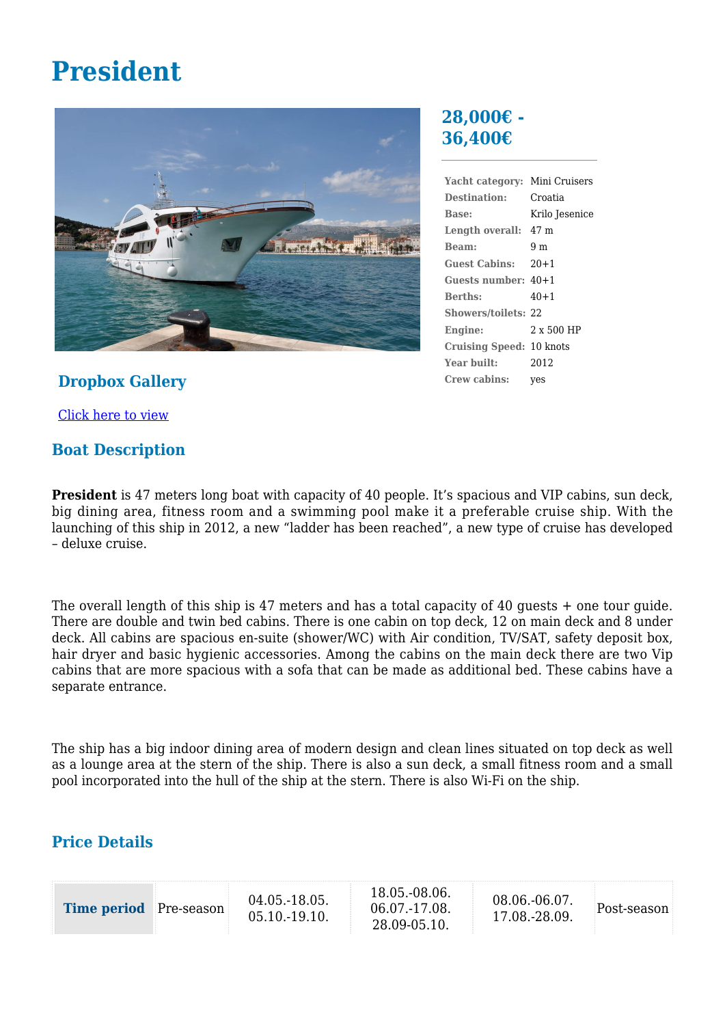# **President**



#### **Dropbox Gallery**

[Click here to view](https://www.dropbox.com/sh/67k02sgdkftcolo/AAAi3ijmKpB2mVpNlt9hoWGxa?dl=0)

#### **Boat Description**

## **28,000€ - 36,400€**

| Yacht category:            | Mini Cruisers     |
|----------------------------|-------------------|
| Destination:               | Croatia           |
| Base:                      | Krilo Jesenice    |
| Length overall: 47 m       |                   |
| Beam:                      | 9 m               |
| Guest Cabins: 20+1         |                   |
| Guests number: $40+1$      |                   |
| <b>Berths:</b>             | $40 + 1$          |
| <b>Showers/toilets: 22</b> |                   |
| Engine:                    | $2 \times 500$ HP |
| Cruising Speed: 10 knots   |                   |
| Year built:                | 2012              |
| Crew cabins:               | yes               |

**President** is 47 meters long boat with capacity of 40 people. It's spacious and VIP cabins, sun deck, big dining area, fitness room and a swimming pool make it a preferable cruise ship. With the launching of this ship in 2012, a new "ladder has been reached", a new type of cruise has developed – deluxe cruise.

The overall length of this ship is 47 meters and has a total capacity of 40 guests + one tour guide. There are double and twin bed cabins. There is one cabin on top deck, 12 on main deck and 8 under deck. All cabins are spacious en-suite (shower/WC) with Air condition, TV/SAT, safety deposit box, hair dryer and basic hygienic accessories. Among the cabins on the main deck there are two Vip cabins that are more spacious with a sofa that can be made as additional bed. These cabins have a separate entrance.

The ship has a big indoor dining area of modern design and clean lines situated on top deck as well as a lounge area at the stern of the ship. There is also a sun deck, a small fitness room and a small pool incorporated into the hull of the ship at the stern. There is also Wi-Fi on the ship.

## **Price Details**

| <b>Time period</b> Pre-season |  | 04.05.-18.05.<br>05.10.-19.10. |  | 18.05.-08.06.<br>06.07.-17.08.<br>28.09-05.10. | 08.06.-06.07.<br>17.08.-28.09. | Post-season |
|-------------------------------|--|--------------------------------|--|------------------------------------------------|--------------------------------|-------------|
|-------------------------------|--|--------------------------------|--|------------------------------------------------|--------------------------------|-------------|